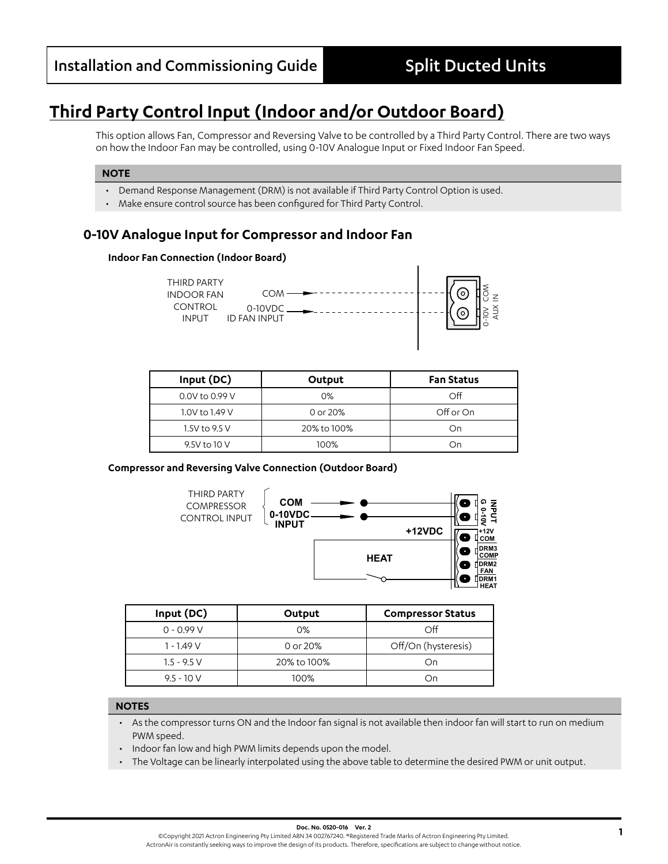# **Third Party Control Input (Indoor and/or Outdoor Board)**

This option allows Fan, Compressor and Reversing Valve to be controlled by a Third Party Control. There are two ways on how the Indoor Fan may be controlled, using 0-10V Analogue Input or Fixed Indoor Fan Speed.

### **NOTE**

- Demand Response Management (DRM) is not available if Third Party Control Option is used.
- Make ensure control source has been configured for Third Party Control.

# **0-10V Analogue Input for Compressor and Indoor Fan**

### **Indoor Fan Connection (Indoor Board)**



| Input (DC)     | Output      | <b>Fan Status</b> |
|----------------|-------------|-------------------|
| 0.0V to 0.99 V | $0\%$       | $\Omega$          |
| 1.0V to 1.49 V | 0 or 20%    | Off or On         |
| 1.5V to 9.5 V  | 20% to 100% | On                |
| 9.5V to 10 V   | 100%        | On                |

### **Compressor and Reversing Valve Connection (Outdoor Board) COM**



|               |                                 | llnuwn<br><b>FAN</b><br>∐DRM<br>$\sim$<br><b>HEA</b> |  |
|---------------|---------------------------------|------------------------------------------------------|--|
| Input (DC)    | Output                          | <b>Compressor Status</b>                             |  |
| $0 - 0.99 V$  | 0%                              | Off                                                  |  |
| $1 - 1.49V$   | Off/On (hysteresis)<br>0 or 20% |                                                      |  |
| $1.5 - 9.5 V$ | 20% to 100%                     | On                                                   |  |
| $9.5 - 10V$   | 100%                            | On                                                   |  |

#### **NOTES**

- **M**<br>Dr • As the compressor turns ON and the Indoor fan signal is not available then indoor fan will start to run on medium PWM speed.
- Indoor fan low and high PWM limits depends upon the model.
- The Voltage can be linearly interpolated using the above table to determine the desired PWM or unit output.**SECONDARY**

**POWER IN**

**COM 3**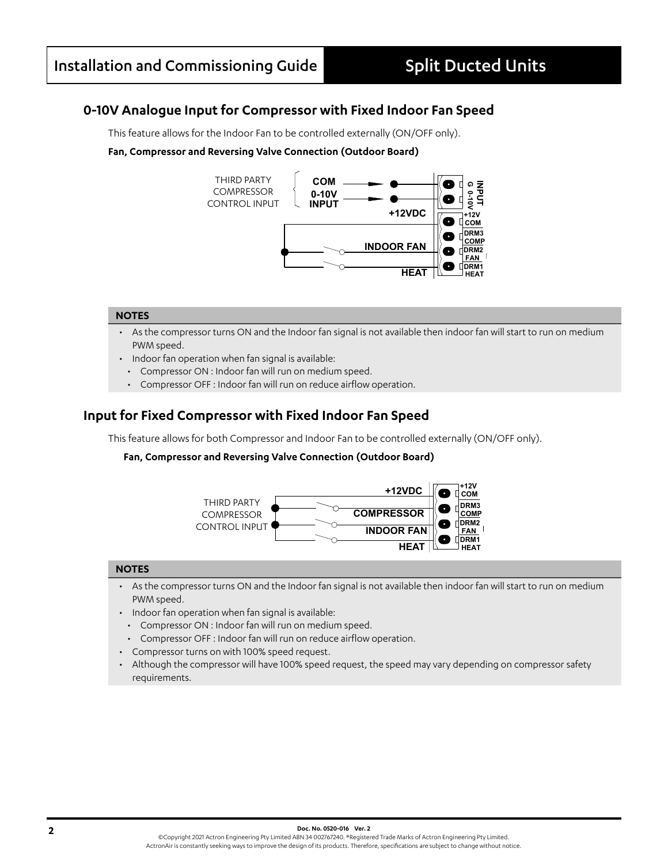**PWR**

### **0-10V Analogue Input for Compressor with Fixed Indoor Fan Speed 12V 12345678 ECON OUT AUX OUT COM or**<br>ar **O**<br>r i<br>g `

This feature allows for the Indoor Fan to be controlled externally (ON/OFF only). controlled externally (ON/OFF only). **P**<br>س pc<br>in

### Fan, Compressor and Reversing Valve Connection (Outdoor Board)



#### **NOTES**

- **OUTDOOR** • As the compressor turns ON and the Indoor fan signal is not available then indoor fan will start to run on medium<br>PWM speed.<br>Indoor fan apastian whan fan signal is weilshlau **COM 2** PWM speed.
- Indoor fan operation when fan signal is available:
	- Compressor ON : Indoor fan will run on medium speed.
	- Compressor OFF : Indoor fan will run on reduce airflow operation.

### **Input for Fixed Compressor with Fixed Indoor Fan Speed**

This feature allows for both Compressor and Indoor Fan to be controlled externally (ON/OFF only). **0-10V INPUT**

#### **Fan, Compressor and Reversing Valve Connection (Outdoor Board)**



#### **NOTES**

- As the compressor turns ON and the Indoor fan signal is not available then indoor fan will start to run on medium PWM speed.
- Indoor fan operation when fan signal is available:
	- Compressor ON : Indoor fan will run on medium speed.
- Compressor OFF : Indoor fan will run on reduce airflow operation.
- Compressor turns on with 100% speed request.
- Although the compressor will have 100% speed request, the speed may vary depending on compressor safety requirements.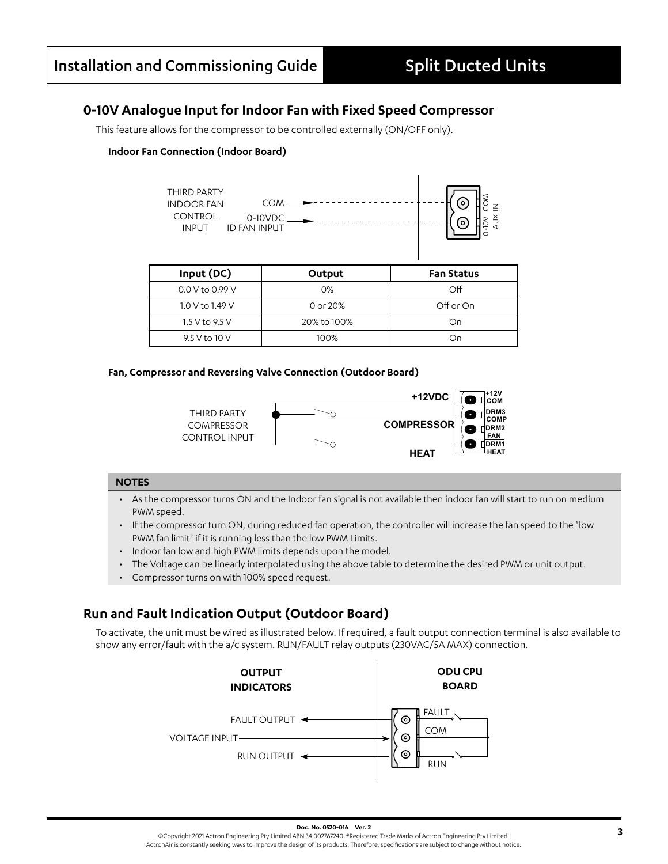# **0-10V Analogue Input for Indoor Fan with Fixed Speed Compressor**

This feature allows for the compressor to be controlled externally (ON/OFF only).

### **Indoor Fan Connection (Indoor Board)**



| Input (DC)      | Output      | <b>Fan Status</b> |
|-----------------|-------------|-------------------|
| 0.0 V to 0.99 V | $0\%$       | Off               |
| 1.0 V to 1.49 V | 0 or 20%    | Off or On         |
| 1.5 V to 9.5 V  | 20% to 100% | On                |
| 9.5 V to 10 V   | 100%        | Ωu                |

### **Fan, Compressor and Reversing Valve Connection (Outdoor Board)**



### **NOTES**

- As the compressor turns ON and the Indoor fan signal is not available then indoor fan will start to run on medium PWM speed.
- If the compressor turn ON, during reduced fan operation, the controller will increase the fan speed to the "low PWM fan limit" if it is running less than the low PWM Limits.
- Indoor fan low and high PWM limits depends upon the model.
- The Voltage can be linearly interpolated using the above table to determine the desired PWM or unit output.
- Compressor turns on with 100% speed request.

# **Run and Fault Indication Output (Outdoor Board)**

To activate, the unit must be wired as illustrated below. If required, a fault output connection terminal is also available to show any error/fault with the a/c system. RUN/FAULT relay outputs (230VAC/5A MAX) connection.